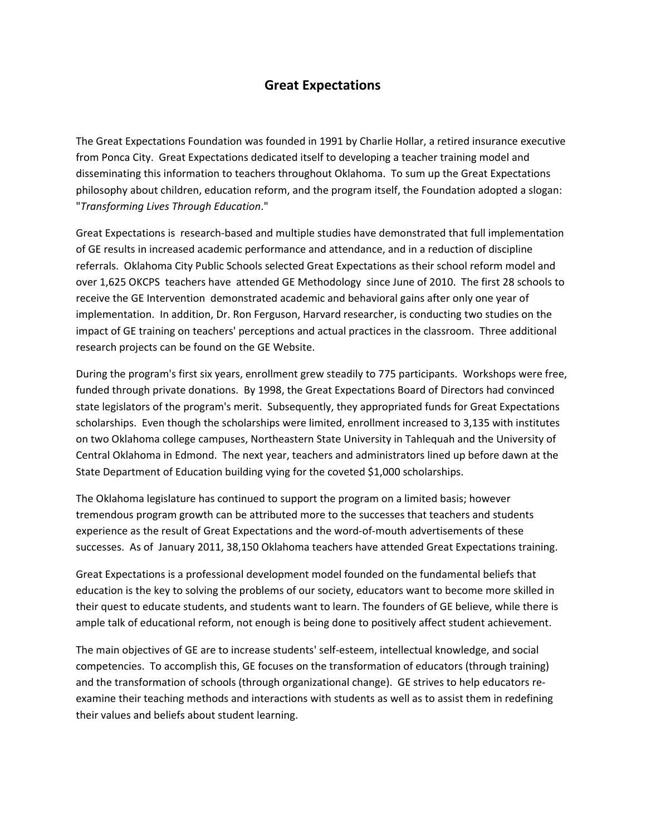## **Great Expectations**

The Great Expectations Foundation was founded in 1991 by Charlie Hollar, a retired insurance executive from Ponca City. Great Expectations dedicated itself to developing a teacher training model and disseminating this information to teachers throughout Oklahoma. To sum up the Great Expectations philosophy about children, education reform, and the program itself, the Foundation adopted a slogan: "*Transforming Lives Through Education*."

Great Expectations is research‐based and multiple studies have demonstrated that full implementation of GE results in increased academic performance and attendance, and in a reduction of discipline referrals. Oklahoma City Public Schools selected Great Expectations as their school reform model and over 1,625 OKCPS teachers have attended GE Methodology since June of 2010. The first 28 schools to receive the GE Intervention demonstrated academic and behavioral gains after only one year of implementation. In addition, Dr. Ron Ferguson, Harvard researcher, is conducting two studies on the impact of GE training on teachers' perceptions and actual practices in the classroom. Three additional research projects can be found on the GE Website.

During the program's first six years, enrollment grew steadily to 775 participants. Workshops were free, funded through private donations. By 1998, the Great Expectations Board of Directors had convinced state legislators of the program's merit. Subsequently, they appropriated funds for Great Expectations scholarships. Even though the scholarships were limited, enrollment increased to 3,135 with institutes on two Oklahoma college campuses, Northeastern State University in Tahlequah and the University of Central Oklahoma in Edmond. The next year, teachers and administrators lined up before dawn at the State Department of Education building vying for the coveted \$1,000 scholarships.

The Oklahoma legislature has continued to support the program on a limited basis; however tremendous program growth can be attributed more to the successes that teachers and students experience as the result of Great Expectations and the word‐of‐mouth advertisements of these successes. As of January 2011, 38,150 Oklahoma teachers have attended Great Expectations training.

Great Expectations is a professional development model founded on the fundamental beliefs that education is the key to solving the problems of our society, educators want to become more skilled in their quest to educate students, and students want to learn. The founders of GE believe, while there is ample talk of educational reform, not enough is being done to positively affect student achievement.

The main objectives of GE are to increase students' self‐esteem, intellectual knowledge, and social competencies. To accomplish this, GE focuses on the transformation of educators (through training) and the transformation of schools (through organizational change). GE strives to help educators re‐ examine their teaching methods and interactions with students as well as to assist them in redefining their values and beliefs about student learning.